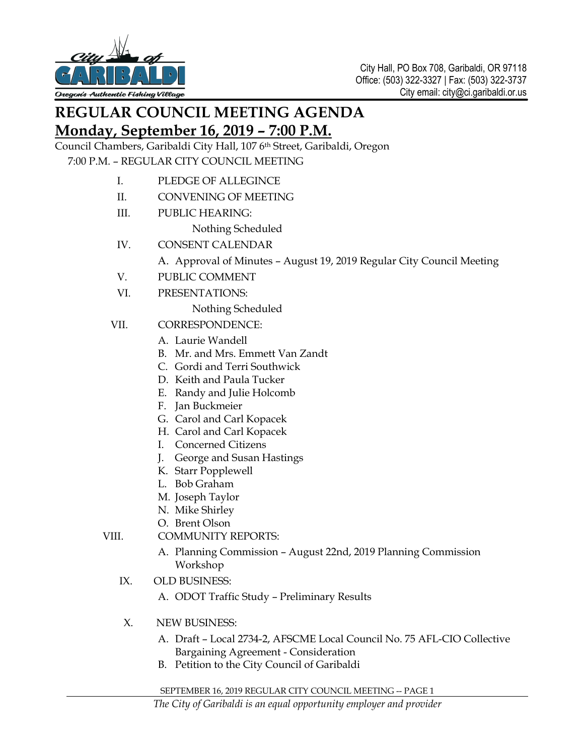

## **REGULAR COUNCIL MEETING AGENDA Monday, September 16, 2019 – 7:00 P.M.**

Council Chambers, Garibaldi City Hall, 107 6th Street, Garibaldi, Oregon 7:00 P.M. – REGULAR CITY COUNCIL MEETING

- I. PLEDGE OF ALLEGINCE
- II. CONVENING OF MEETING
- III. PUBLIC HEARING:
	- Nothing Scheduled
- IV. CONSENT CALENDAR
	- A. Approval of Minutes August 19, 2019 Regular City Council Meeting
- V. PUBLIC COMMENT
- VI. PRESENTATIONS:

Nothing Scheduled

- VII. CORRESPONDENCE:
	- A. Laurie Wandell
	- B. Mr. and Mrs. Emmett Van Zandt
	- C. Gordi and Terri Southwick
	- D. Keith and Paula Tucker
	- E. Randy and Julie Holcomb
	- F. Jan Buckmeier
	- G. Carol and Carl Kopacek
	- H. Carol and Carl Kopacek
	- I. Concerned Citizens
	- J. George and Susan Hastings
	- K. Starr Popplewell
	- L. Bob Graham
	- M. Joseph Taylor
	- N. Mike Shirley
	- O. Brent Olson

VIII. COMMUNITY REPORTS:

- A. Planning Commission August 22nd, 2019 Planning Commission Workshop
- IX. OLD BUSINESS:
	- A. ODOT Traffic Study Preliminary Results
- X. NEW BUSINESS:
	- A. Draft Local 2734-2, AFSCME Local Council No. 75 AFL-CIO Collective Bargaining Agreement - Consideration
	- B. Petition to the City Council of Garibaldi